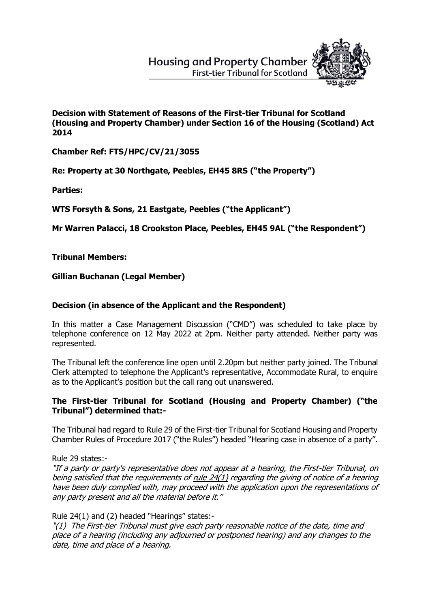**Housing and Property Chamber First-tier Tribunal for Scotland** 



**Decision with Statement of Reasons of the First-tier Tribunal for Scotland (Housing and Property Chamber) under Section 16 of the Housing (Scotland) Act 2014**

**Chamber Ref: FTS/HPC/CV/21/3055**

**Re: Property at 30 Northgate, Peebles, EH45 8RS ("the Property")**

**Parties:**

**WTS Forsyth & Sons, 21 Eastgate, Peebles ("the Applicant")**

**Mr Warren Palacci, 18 Crookston Place, Peebles, EH45 9AL ("the Respondent")** 

**Tribunal Members:**

### **Gillian Buchanan (Legal Member)**

## **Decision (in absence of the Applicant and the Respondent)**

In this matter a Case Management Discussion ("CMD") was scheduled to take place by telephone conference on 12 May 2022 at 2pm. Neither party attended. Neither party was represented.

The Tribunal left the conference line open until 2.20pm but neither party joined. The Tribunal Clerk attempted to telephone the Applicant's representative, Accommodate Rural, to enquire as to the Applicant's position but the call rang out unanswered.

# **The First-tier Tribunal for Scotland (Housing and Property Chamber) ("the Tribunal") determined that:-**

The Tribunal had regard to Rule 29 of the First-tier Tribunal for Scotland Housing and Property Chamber Rules of Procedure 2017 ("the Rules") headed "Hearing case in absence of a party".

Rule 29 states:-

"If a party or party's representative does not appear at a hearing, the First-tier Tribunal, on being satisfied that the requirements of rule 24(1) regarding the giving of notice of a hearing have been duly complied with, may proceed with the application upon the representations of any party present and all the material before it."

Rule 24(1) and (2) headed "Hearings" states:-

"(1) The First-tier Tribunal must give each party reasonable notice of the date, time and place of a hearing (including any adjourned or postponed hearing) and any changes to the date, time and place of a hearing.